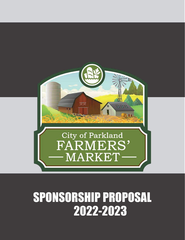

## SPONSORSHIP PROPOSAL 2022-2023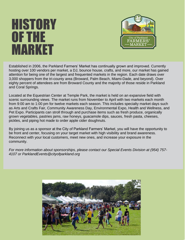## HISTORY OF THE MARKET



Established in 2006, the Parkland Farmers' Market has continually grown and improved. Currently hosting over 100 vendors per market, a DJ, bounce house, crafts, and more, our market has gained attention for being one of the largest and frequented markets in the region. Each date draws over 3,000 shoppers from the tri-county area (Broward, Palm Beach, Miami-Dade, and beyond). Over eighty percent of attendees are from Broward County and the majority of those reside in Parkland and Coral Springs.

Located at the Equestrian Center at Temple Park, the market is held on an expansive field with scenic surrounding views. The market runs from November to April with two markets each month from 9:00 am to 1:00 pm for twelve markets each season. This includes specialty market days such as Arts and Crafts Fair, Community Awareness Day, Environmental Expo, Health and Wellness, and Pet Expo. Participants can stroll through and purchase items such as fresh produce, organically grown vegetables, pastries jams, raw honeys, guacamole dips, sauces, fresh pasta, cheeses, pickles, and piping hot made to order apple cider doughnuts.

By joining us as a sponsor at the City of Parkland Farmers' Market, you will have the opportunity to be front and center, focusing on your target market with high visibility and brand awareness. Reconnect with your local customers, meet new ones, and increase your exposure in the community.

*For more information about sponsorships, please contact our Special Events Division at (954) 757- 4107 or ParklandEvents@cityofparkland.org*

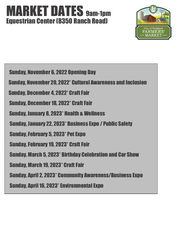### MARKET DATES 9am-1pm Equestrian Center (8350 Ranch Road)



j l Sunday, November 6, 2022 Opening Day Sunday, November 20, 2022\* Cultural Awareness and Inclusion Sunday, December 4, 2022\* Craft Fair Sunday, December 18, 2022\* Craft Fair Sunday, January 8, 2023\* Health & Wellness Sunday, January 22, 2023\* Business Expo / Public Safety Sunday, February 5, 2023\* Pet Expo Sunday, February 19, 2023\* Craft Fair Sunday, March 5, 2023\* Birthday Celebration and Car Show Sunday, March 19, 2023\* Craft Fair Sunday, April 2, 2023\* Community Awareness/Business Expo Sunday, April 16, 2023\* Environmental Expo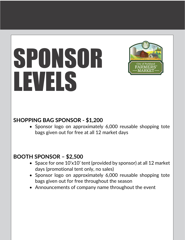# SPONSOR LEVELS



### **SHOPPING BAG SPONSOR - \$1,200**

• Sponsor logo on approximately 6,000 reusable shopping tote bags given out for free at all 12 market days

### **BOOTH SPONSOR – \$2,500**

- Space for one 10'x10' tent (provided by sponsor) at all 12 market days (promotional tent only, no sales)
- Sponsor logo on approximately 6,000 reusable shopping tote bags given out for free throughout the season
- Announcements of company name throughout the event